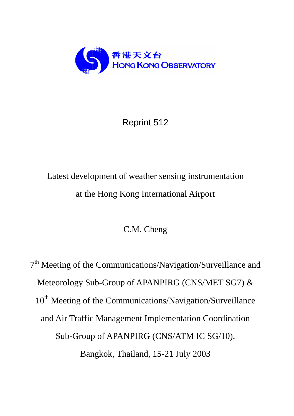

# Reprint 512

# Latest development of weather sensing instrumentation at the Hong Kong International Airport

C.M. Cheng

7<sup>th</sup> Meeting of the Communications/Navigation/Surveillance and Meteorology Sub-Group of APANPIRG (CNS/MET SG7) & 10<sup>th</sup> Meeting of the Communications/Navigation/Surveillance and Air Traffic Management Implementation Coordination Sub-Group of APANPIRG (CNS/ATM IC SG/10), Bangkok, Thailand, 15-21 July 2003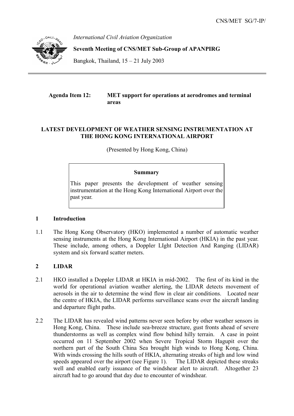

*International Civil Aviation Organization* 

**Seventh Meeting of CNS/MET Sub-Group of APANPIRG** 

Bangkok, Thailand,  $15 - 21$  July 2003

# **Agenda Item 12: MET support for operations at aerodromes and terminal areas**

# **LATEST DEVELOPMENT OF WEATHER SENSING INSTRUMENTATION AT THE HONG KONG INTERNATIONAL AIRPORT**

(Presented by Hong Kong, China)

#### **Summary**

This paper presents the development of weather sensing instrumentation at the Hong Kong International Airport over the past year.

#### **1 Introduction**

1.1 The Hong Kong Observatory (HKO) implemented a number of automatic weather sensing instruments at the Hong Kong International Airport (HKIA) in the past year. These include, among others, a Doppler LIght Detection And Ranging (LIDAR) system and six forward scatter meters.

# **2 LIDAR**

- 2.1 HKO installed a Doppler LIDAR at HKIA in mid-2002. The first of its kind in the world for operational aviation weather alerting, the LIDAR detects movement of aerosols in the air to determine the wind flow in clear air conditions. Located near the centre of HKIA, the LIDAR performs surveillance scans over the aircraft landing and departure flight paths.
- 2.2 The LIDAR has revealed wind patterns never seen before by other weather sensors in Hong Kong, China. These include sea-breeze structure, gust fronts ahead of severe thunderstorms as well as complex wind flow behind hilly terrain. A case in point occurred on 11 September 2002 when Severe Tropical Storm Hagupit over the northern part of the South China Sea brought high winds to Hong Kong, China. With winds crossing the hills south of HKIA, alternating streaks of high and low wind speeds appeared over the airport (see Figure 1). The LIDAR depicted these streaks well and enabled early issuance of the windshear alert to aircraft. Altogether 23 aircraft had to go around that day due to encounter of windshear.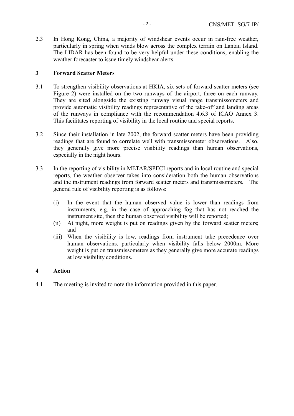2.3 In Hong Kong, China, a majority of windshear events occur in rain-free weather, particularly in spring when winds blow across the complex terrain on Lantau Island. The LIDAR has been found to be very helpful under these conditions, enabling the weather forecaster to issue timely windshear alerts.

# **3 Forward Scatter Meters**

- 3.1 To strengthen visibility observations at HKIA, six sets of forward scatter meters (see Figure 2) were installed on the two runways of the airport, three on each runway. They are sited alongside the existing runway visual range transmissometers and provide automatic visibility readings representative of the take-off and landing areas of the runways in compliance with the recommendation 4.6.3 of ICAO Annex 3. This facilitates reporting of visibility in the local routine and special reports.
- 3.2 Since their installation in late 2002, the forward scatter meters have been providing readings that are found to correlate well with transmissometer observations. Also, they generally give more precise visibility readings than human observations, especially in the night hours.
- 3.3 In the reporting of visibility in METAR/SPECI reports and in local routine and special reports, the weather observer takes into consideration both the human observations and the instrument readings from forward scatter meters and transmissometers. The general rule of visibility reporting is as follows:
	- (i) In the event that the human observed value is lower than readings from instruments, e.g. in the case of approaching fog that has not reached the instrument site, then the human observed visibility will be reported;
	- (ii) At night, more weight is put on readings given by the forward scatter meters; and
	- (iii) When the visibility is low, readings from instrument take precedence over human observations, particularly when visibility falls below 2000m. More weight is put on transmissometers as they generally give more accurate readings at low visibility conditions.

# **4 Action**

4.1 The meeting is invited to note the information provided in this paper.